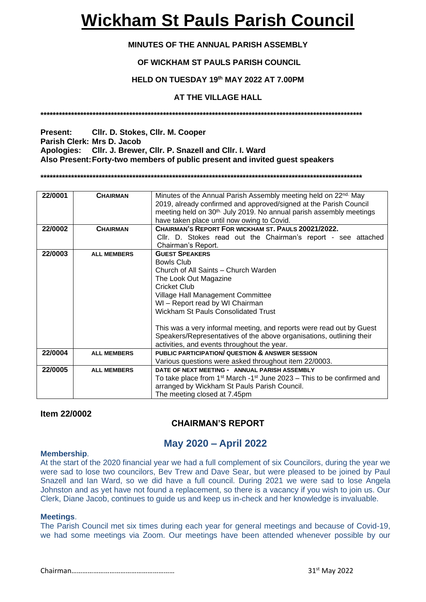# **Wickham St Pauls Parish Council**

# **MINUTES OF THE ANNUAL PARISH ASSEMBLY**

# **OF WICKHAM ST PAULS PARISH COUNCIL**

## **HELD ON TUESDAY 19th MAY 2022 AT 7.00PM**

# **AT THE VILLAGE HALL**

**\*\*\*\*\*\*\*\*\*\*\*\*\*\*\*\*\*\*\*\*\*\*\*\*\*\*\*\*\*\*\*\*\*\*\*\*\*\*\*\*\*\*\*\*\*\*\*\*\*\*\*\*\*\*\*\*\*\*\*\*\*\*\*\*\*\*\*\*\*\*\*\*\*\*\*\*\*\*\*\*\*\*\*\*\*\*\*\*\*\*\*\*\*\*\*\*\*\*\*\*\*\*\*\*\***

**Present: Cllr. D. Stokes, Cllr. M. Cooper Parish Clerk: Mrs D. Jacob Apologies: Cllr. J. Brewer, Cllr. P. Snazell and Cllr. I. Ward Also Present:Forty-two members of public present and invited guest speakers** 

**\*\*\*\*\*\*\*\*\*\*\*\*\*\*\*\*\*\*\*\*\*\*\*\*\*\*\*\*\*\*\*\*\*\*\*\*\*\*\*\*\*\*\*\*\*\*\*\*\*\*\*\*\*\*\*\*\*\*\*\*\*\*\*\*\*\*\*\*\*\*\*\*\*\*\*\*\*\*\*\*\*\*\*\*\*\*\*\*\*\*\*\*\*\*\*\*\*\*\*\*\*\*\*\*\***

| 22/0001 | <b>CHAIRMAN</b>    | Minutes of the Annual Parish Assembly meeting held on 22nd. May                      |  |  |
|---------|--------------------|--------------------------------------------------------------------------------------|--|--|
|         |                    | 2019, already confirmed and approved/signed at the Parish Council                    |  |  |
|         |                    | meeting held on 30 <sup>th.</sup> July 2019. No annual parish assembly meetings      |  |  |
|         |                    | have taken place until now owing to Covid.                                           |  |  |
| 22/0002 | <b>CHAIRMAN</b>    | CHAIRMAN'S REPORT FOR WICKHAM ST. PAULS 20021/2022.                                  |  |  |
|         |                    | Cllr. D. Stokes read out the Chairman's report - see attached                        |  |  |
|         |                    |                                                                                      |  |  |
|         |                    | Chairman's Report.                                                                   |  |  |
| 22/0003 | <b>ALL MEMBERS</b> | <b>GUEST SPEAKERS</b>                                                                |  |  |
|         |                    | <b>Bowls Club</b>                                                                    |  |  |
|         |                    | Church of All Saints - Church Warden                                                 |  |  |
|         |                    | The Look Out Magazine                                                                |  |  |
|         |                    | <b>Cricket Club</b>                                                                  |  |  |
|         |                    | Village Hall Management Committee                                                    |  |  |
|         |                    | WI - Report read by WI Chairman                                                      |  |  |
|         |                    | Wickham St Pauls Consolidated Trust                                                  |  |  |
|         |                    |                                                                                      |  |  |
|         |                    | This was a very informal meeting, and reports were read out by Guest                 |  |  |
|         |                    |                                                                                      |  |  |
|         |                    | Speakers/Representatives of the above organisations, outlining their                 |  |  |
|         |                    | activities, and events throughout the year.                                          |  |  |
| 22/0004 | <b>ALL MEMBERS</b> | <b>PUBLIC PARTICIPATION/ QUESTION &amp; ANSWER SESSION</b>                           |  |  |
|         |                    | Various questions were asked throughout item 22/0003.                                |  |  |
| 22/0005 | <b>ALL MEMBERS</b> | DATE OF NEXT MEETING - ANNUAL PARISH ASSEMBLY                                        |  |  |
|         |                    | To take place from $1st$ March -1 <sup>st</sup> June 2023 – This to be confirmed and |  |  |
|         |                    | arranged by Wickham St Pauls Parish Council.                                         |  |  |
|         |                    | The meeting closed at 7.45pm                                                         |  |  |

## **Item 22/0002**

# **CHAIRMAN'S REPORT**

# **May 2020 – April 2022**

#### **Membership**.

At the start of the 2020 financial year we had a full complement of six Councilors, during the year we were sad to lose two councilors, Bev Trew and Dave Sear, but were pleased to be joined by Paul Snazell and Ian Ward, so we did have a full council. During 2021 we were sad to lose Angela Johnston and as yet have not found a replacement, so there is a vacancy if you wish to join us. Our Clerk, Diane Jacob, continues to guide us and keep us in-check and her knowledge is invaluable.

#### **Meetings**.

The Parish Council met six times during each year for general meetings and because of Covid-19, we had some meetings via Zoom. Our meetings have been attended whenever possible by our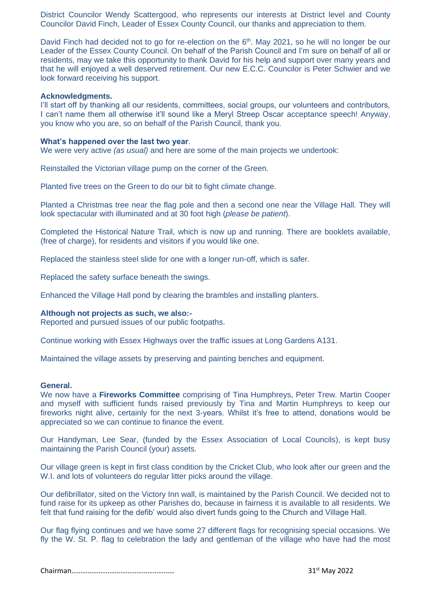District Councilor Wendy Scattergood, who represents our interests at District level and County Councilor David Finch, Leader of Essex County Council, our thanks and appreciation to them.

David Finch had decided not to go for re-election on the  $6<sup>th</sup>$ . May 2021, so he will no longer be our Leader of the Essex County Council. On behalf of the Parish Council and I'm sure on behalf of all or residents, may we take this opportunity to thank David for his help and support over many years and that he will enjoyed a well deserved retirement. Our new E.C.C. Councilor is Peter Schwier and we look forward receiving his support.

#### **Acknowledgments.**

I'll start off by thanking all our residents, committees, social groups, our volunteers and contributors, I can't name them all otherwise it'll sound like a Meryl Streep Oscar acceptance speech! Anyway, you know who you are, so on behalf of the Parish Council, thank you*.*

#### **What's happened over the last two year**.

We were very active *(as usual)* and here are some of the main projects we undertook:

Reinstalled the Victorian village pump on the corner of the Green.

Planted five trees on the Green to do our bit to fight climate change.

Planted a Christmas tree near the flag pole and then a second one near the Village Hall. They will look spectacular with illuminated and at 30 foot high (*please be patient*).

Completed the Historical Nature Trail, which is now up and running. There are booklets available, (free of charge), for residents and visitors if you would like one.

Replaced the stainless steel slide for one with a longer run-off, which is safer.

Replaced the safety surface beneath the swings.

Enhanced the Village Hall pond by clearing the brambles and installing planters.

#### **Although not projects as such, we also:-**

Reported and pursued issues of our public footpaths.

Continue working with Essex Highways over the traffic issues at Long Gardens A131.

Maintained the village assets by preserving and painting benches and equipment.

#### **General.**

We now have a **Fireworks Committee** comprising of Tina Humphreys, Peter Trew. Martin Cooper and myself with sufficient funds raised previously by Tina and Martin Humphreys to keep our fireworks night alive, certainly for the next 3-years. Whilst it's free to attend, donations would be appreciated so we can continue to finance the event.

Our Handyman, Lee Sear, (funded by the Essex Association of Local Councils), is kept busy maintaining the Parish Council (your) assets.

Our village green is kept in first class condition by the Cricket Club, who look after our green and the W.I. and lots of volunteers do regular litter picks around the village.

Our defibrillator, sited on the Victory Inn wall, is maintained by the Parish Council. We decided not to fund raise for its upkeep as other Parishes do, because in fairness it is available to all residents. We felt that fund raising for the defib' would also divert funds going to the Church and Village Hall.

Our flag flying continues and we have some 27 different flags for recognising special occasions. We fly the W. St. P. flag to celebration the lady and gentleman of the village who have had the most

Chairman………………………………………………… 31st May 2022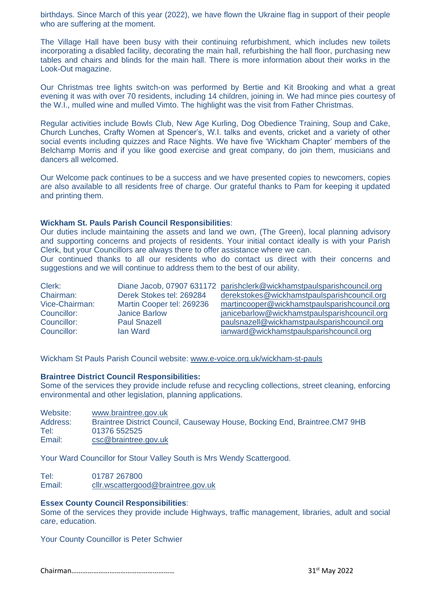birthdays. Since March of this year (2022), we have flown the Ukraine flag in support of their people who are suffering at the moment.

The Village Hall have been busy with their continuing refurbishment, which includes new toilets incorporating a disabled facility, decorating the main hall, refurbishing the hall floor, purchasing new tables and chairs and blinds for the main hall. There is more information about their works in the Look-Out magazine.

Our Christmas tree lights switch-on was performed by Bertie and Kit Brooking and what a great evening it was with over 70 residents, including 14 children, joining in. We had mince pies courtesy of the W.I., mulled wine and mulled Vimto. The highlight was the visit from Father Christmas.

Regular activities include Bowls Club, New Age Kurling, Dog Obedience Training, Soup and Cake, Church Lunches, Crafty Women at Spencer's, W.I. talks and events, cricket and a variety of other social events including quizzes and Race Nights. We have five 'Wickham Chapter' members of the Belchamp Morris and if you like good exercise and great company, do join them, musicians and dancers all welcomed.

Our Welcome pack continues to be a success and we have presented copies to newcomers, copies are also available to all residents free of charge. Our grateful thanks to Pam for keeping it updated and printing them.

#### **Wickham St. Pauls Parish Council Responsibilities**:

Our duties include maintaining the assets and land we own, (The Green), local planning advisory and supporting concerns and projects of residents. Your initial contact ideally is with your Parish Clerk, but your Councillors are always there to offer assistance where we can.

Our continued thanks to all our residents who do contact us direct with their concerns and suggestions and we will continue to address them to the best of our ability.

| Clerk:         |                           | Diane Jacob, 07907 631172 parishclerk@wickhamstpaulsparishcouncil.org |
|----------------|---------------------------|-----------------------------------------------------------------------|
| Chairman:      | Derek Stokes tel: 269284  | derekstokes@wickhamstpaulsparishcouncil.org                           |
| Vice-Chairman: | Martin Cooper tel: 269236 | martincooper@wickhamstpaulsparishcouncil.org                          |
| Councillor:    | <b>Janice Barlow</b>      | janicebarlow@wickhamstpaulsparishcouncil.org                          |
| Councillor:    | <b>Paul Snazell</b>       | paulsnazell@wickhamstpaulsparishcouncil.org                           |
| Councillor:    | <b>lan Ward</b>           | ianward@wickhamstpaulsparishcouncil.org                               |

Wickham St Pauls Parish Council website: [www.e-voice.org.uk/wickham-st-pauls](http://www.e-voice.org.uk/wickham-st-pauls)

#### **Braintree District Council Responsibilities:**

Some of the services they provide include refuse and recycling collections, street cleaning, enforcing environmental and other legislation, planning applications.

| Website: | www.braintree.gov.uk                                                       |
|----------|----------------------------------------------------------------------------|
| Address: | Braintree District Council, Causeway House, Bocking End, Braintree.CM7 9HB |
| Tel:     | 01376 552525                                                               |
| Email:   | csc@braintree.gov.uk                                                       |

Your Ward Councillor for Stour Valley South is Mrs Wendy Scattergood.

Tel: 01787 267800 Email: [cllr.wscattergood@braintree.gov.uk](mailto:cllr.wscattergood@braintree.gov.uk)

#### **Essex County Council Responsibilities**:

Some of the services they provide include Highways, traffic management, libraries, adult and social care, education.

Your County Councillor is Peter Schwier

Chairman………………………………………………… 31st May 2022